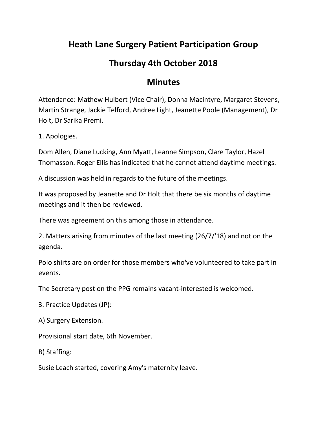## **Heath Lane Surgery Patient Participation Group**

## **Thursday 4th October 2018**

## **Minutes**

Attendance: Mathew Hulbert (Vice Chair), Donna Macintyre, Margaret Stevens, Martin Strange, Jackie Telford, Andree Light, Jeanette Poole (Management), Dr Holt, Dr Sarika Premi.

1. Apologies.

Dom Allen, Diane Lucking, Ann Myatt, Leanne Simpson, Clare Taylor, Hazel Thomasson. Roger Ellis has indicated that he cannot attend daytime meetings.

A discussion was held in regards to the future of the meetings.

It was proposed by Jeanette and Dr Holt that there be six months of daytime meetings and it then be reviewed.

There was agreement on this among those in attendance.

2. Matters arising from minutes of the last meeting (26/7/'18) and not on the agenda.

Polo shirts are on order for those members who've volunteered to take part in events.

The Secretary post on the PPG remains vacant-interested is welcomed.

3. Practice Updates (JP):

A) Surgery Extension.

Provisional start date, 6th November.

B) Staffing:

Susie Leach started, covering Amy's maternity leave.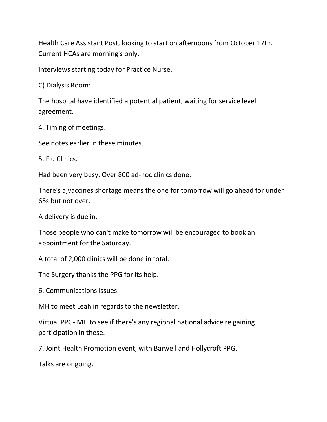Health Care Assistant Post, looking to start on afternoons from October 17th. Current HCAs are morning's only.

Interviews starting today for Practice Nurse.

C) Dialysis Room:

The hospital have identified a potential patient, waiting for service level agreement.

4. Timing of meetings.

See notes earlier in these minutes.

5. Flu Clinics.

Had been very busy. Over 800 ad-hoc clinics done.

There's a,vaccines shortage means the one for tomorrow will go ahead for under 65s but not over.

A delivery is due in.

Those people who can't make tomorrow will be encouraged to book an appointment for the Saturday.

A total of 2,000 clinics will be done in total.

The Surgery thanks the PPG for its help.

6. Communications Issues.

MH to meet Leah in regards to the newsletter.

Virtual PPG- MH to see if there's any regional national advice re gaining participation in these.

7. Joint Health Promotion event, with Barwell and Hollycroft PPG.

Talks are ongoing.